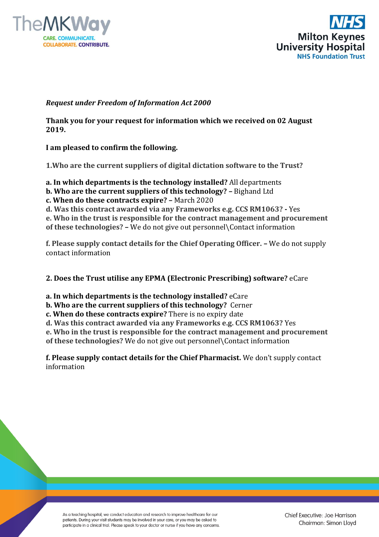



## *Request under Freedom of Information Act 2000*

**Thank you for your request for information which we received on 02 August 2019.**

**I am pleased to confirm the following.**

**1.Who are the current suppliers of digital dictation software to the Trust?**

**a. In which departments is the technology installed?** All departments

**b. Who are the current suppliers of this technology? –** Bighand Ltd

**c. When do these contracts expire? –** March 2020

**d. Was this contract awarded via any Frameworks e.g. CCS RM1063? -** Yes

**e. Who in the trust is responsible for the contract management and procurement of these technologies? –** We do not give out personnel\Contact information

**f. Please supply contact details for the Chief Operating Officer. –** We do not supply contact information

**2. Does the Trust utilise any EPMA (Electronic Prescribing) software?** eCare

**a. In which departments is the technology installed?** eCare

**b. Who are the current suppliers of this technology?** Cerner

**c. When do these contracts expire?** There is no expiry date

**d. Was this contract awarded via any Frameworks e.g. CCS RM1063?** Yes

**e. Who in the trust is responsible for the contract management and procurement of these technologies?** We do not give out personnel\Contact information

**f. Please supply contact details for the Chief Pharmacist.** We don't supply contact information

As a teaching hospital, we conduct education and research to improve healthcare for our patients. During your visit students may be involved in your care, or you may be asked to participate in a clinical trial. Please speak to your doctor or nurse if you have any concerns.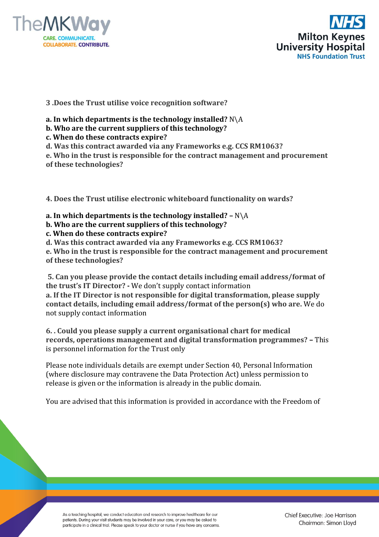



**3 .Does the Trust utilise voice recognition software?**

- **a. In which departments is the technology installed?** N\A
- **b. Who are the current suppliers of this technology?**
- **c. When do these contracts expire?**

**d. Was this contract awarded via any Frameworks e.g. CCS RM1063?**

**e. Who in the trust is responsible for the contract management and procurement of these technologies?**

**4. Does the Trust utilise electronic whiteboard functionality on wards?**

- **a. In which departments is the technology installed? –** N\A
- **b. Who are the current suppliers of this technology?**
- **c. When do these contracts expire?**
- **d. Was this contract awarded via any Frameworks e.g. CCS RM1063?**

**e. Who in the trust is responsible for the contract management and procurement of these technologies?**

**5. Can you please provide the contact details including email address/format of the trust's IT Director? -** We don't supply contact information

**a. If the IT Director is not responsible for digital transformation, please supply contact details, including email address/format of the person(s) who are.** We do not supply contact information

**6. . Could you please supply a current organisational chart for medical records, operations management and digital transformation programmes? –** This is personnel information for the Trust only

Please note individuals details are exempt under Section 40, Personal Information (where disclosure may contravene the Data Protection Act) unless permission to release is given or the information is already in the public domain.

You are advised that this information is provided in accordance with the Freedom of

As a teaching hospital, we conduct education and research to improve healthcare for our patients. During your visit students may be involved in your care, or you may be asked to participate in a clinical trial. Please speak to your doctor or nurse if you have any concerns.